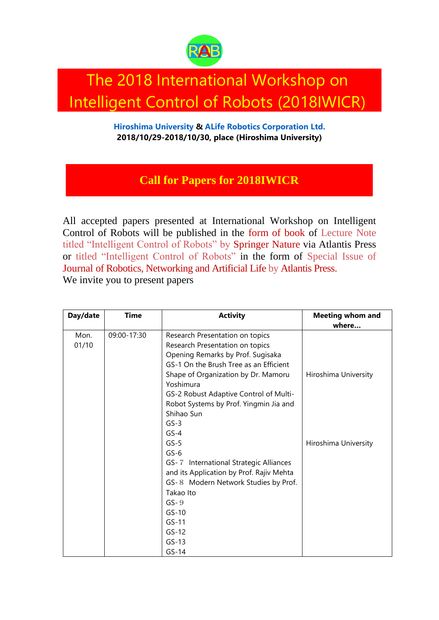

## The 2018 International Workshop on Intelligent Control of Robots (2018IWICR)

**[Hiroshima University](https://www.hiroshima-u.ac.jp/eng) & [ALife Robotics Corporation Ltd.](https://alife-robotics.co.jp/) 2018/10/29-2018/10/30, place (Hiroshima University)**

## **[Call for Papers for 2018IWICR](http://arobcorp.org/)**

All accepted papers presented at International Workshop on Intelligent Control of Robots will be published in the [form of book](https://www.atlantis-press.com/books) of Lecture Note titled "Intelligent Control of Robots" by [Springer Nature v](https://www.springer.com/jp)ia Atlantis Press or titled "Intelligent Control of Robots" in the form of Special Issue of [Journal of Robotics, Networking and Artificial Life](https://www.atlantis-press.com/journals/jrnal) by [Atlantis Press.](https://www.atlantis-press.com/) We invite you to present papers

| Day/date | <b>Time</b> | <b>Activity</b>                          | <b>Meeting whom and</b> |
|----------|-------------|------------------------------------------|-------------------------|
|          |             |                                          | where                   |
| Mon.     | 09:00-17:30 | Research Presentation on topics          |                         |
| 01/10    |             | Research Presentation on topics          |                         |
|          |             | Opening Remarks by Prof. Sugisaka        |                         |
|          |             | GS-1 On the Brush Tree as an Efficient   |                         |
|          |             | Shape of Organization by Dr. Mamoru      | Hiroshima University    |
|          |             | Yoshimura                                |                         |
|          |             | GS-2 Robust Adaptive Control of Multi-   |                         |
|          |             | Robot Systems by Prof. Yingmin Jia and   |                         |
|          |             | Shihao Sun                               |                         |
|          |             | $GS-3$                                   |                         |
|          |             | $GS-4$                                   |                         |
|          |             | $GS-5$                                   | Hiroshima University    |
|          |             | $GS-6$                                   |                         |
|          |             | GS-7 International Strategic Alliances   |                         |
|          |             | and its Application by Prof. Rajiv Mehta |                         |
|          |             | GS-8 Modern Network Studies by Prof.     |                         |
|          |             | Takao Ito                                |                         |
|          |             | $GS-9$                                   |                         |
|          |             | $GS-10$                                  |                         |
|          |             | $GS-11$                                  |                         |
|          |             | $GS-12$                                  |                         |
|          |             | $GS-13$                                  |                         |
|          |             | $GS-14$                                  |                         |